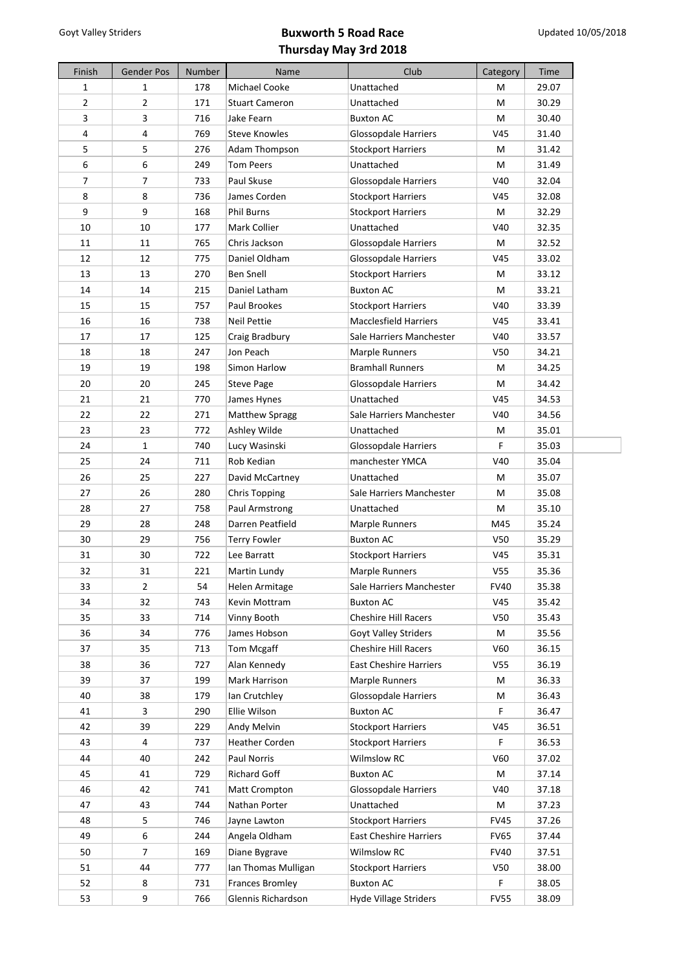| Finish         | <b>Gender Pos</b> | Number | Name                          | Club                          | Category        | Time  |
|----------------|-------------------|--------|-------------------------------|-------------------------------|-----------------|-------|
| $\mathbf{1}$   | $\mathbf{1}$      | 178    | Michael Cooke                 | Unattached                    | M               | 29.07 |
| $\overline{2}$ | $\overline{2}$    | 171    | <b>Stuart Cameron</b>         | Unattached                    | M               | 30.29 |
| 3              | 3                 | 716    | Jake Fearn                    | <b>Buxton AC</b>              | M               | 30.40 |
| 4              | $\overline{4}$    | 769    | <b>Steve Knowles</b>          | <b>Glossopdale Harriers</b>   | V45             | 31.40 |
| 5              | 5                 | 276    | Adam Thompson                 | <b>Stockport Harriers</b>     | M               | 31.42 |
| 6              | 6                 | 249    | <b>Tom Peers</b>              | Unattached                    | М               | 31.49 |
| 7              | 7                 | 733    | Paul Skuse                    | <b>Glossopdale Harriers</b>   | V40             | 32.04 |
| 8              | 8                 | 736    | James Corden                  | <b>Stockport Harriers</b>     | V45             | 32.08 |
| 9              | 9                 | 168    | <b>Phil Burns</b>             | <b>Stockport Harriers</b>     | M               | 32.29 |
| 10             | 10                | 177    | Mark Collier                  | Unattached                    | V40             | 32.35 |
| 11             | 11                | 765    | Chris Jackson                 | <b>Glossopdale Harriers</b>   | M               | 32.52 |
| 12             | 12                | 775    | Daniel Oldham                 | <b>Glossopdale Harriers</b>   | V45             | 33.02 |
| 13             | 13                | 270    | <b>Ben Snell</b>              | <b>Stockport Harriers</b>     | M               | 33.12 |
| 14             | 14                | 215    | Daniel Latham                 | <b>Buxton AC</b>              | M               | 33.21 |
| 15             | 15                | 757    | Paul Brookes                  | <b>Stockport Harriers</b>     | V40             | 33.39 |
| 16             | 16                | 738    | <b>Neil Pettie</b>            | <b>Macclesfield Harriers</b>  | V45             | 33.41 |
| 17             | 17                | 125    | Craig Bradbury                | Sale Harriers Manchester      | V40             | 33.57 |
| 18             | 18                | 247    | Jon Peach                     | Marple Runners                | V50             | 34.21 |
| 19             | 19                | 198    | Simon Harlow                  | <b>Bramhall Runners</b>       | M               | 34.25 |
| 20             | 20                | 245    | <b>Steve Page</b>             | <b>Glossopdale Harriers</b>   | M               | 34.42 |
| 21             | 21                | 770    | James Hynes                   | Unattached                    | V <sub>45</sub> | 34.53 |
| 22             | 22                | 271    | <b>Matthew Spragg</b>         | Sale Harriers Manchester      | V40             | 34.56 |
| 23             | 23                | 772    |                               | Unattached                    | М               | 35.01 |
| 24             |                   |        | Ashley Wilde<br>Lucy Wasinski |                               | F               |       |
|                | $\mathbf{1}$      | 740    |                               | <b>Glossopdale Harriers</b>   |                 | 35.03 |
| 25             | 24                | 711    | Rob Kedian                    | manchester YMCA               | V40             | 35.04 |
| 26             | 25                | 227    | David McCartney               | Unattached                    | M               | 35.07 |
| 27             | 26                | 280    | <b>Chris Topping</b>          | Sale Harriers Manchester      | М               | 35.08 |
| 28             | 27                | 758    | Paul Armstrong                | Unattached                    | M               | 35.10 |
| 29             | 28                | 248    | Darren Peatfield              | Marple Runners                | M45             | 35.24 |
| 30             | 29                | 756    | <b>Terry Fowler</b>           | <b>Buxton AC</b>              | <b>V50</b>      | 35.29 |
| 31             | 30                | 722    | Lee Barratt                   | <b>Stockport Harriers</b>     | V45             | 35.31 |
| 32             | 31                | 221    | Martin Lundy                  | Marple Runners                | V <sub>55</sub> | 35.36 |
| 33             | $\overline{2}$    | 54     | Helen Armitage                | Sale Harriers Manchester      | <b>FV40</b>     | 35.38 |
| 34             | 32                | 743    | Kevin Mottram                 | <b>Buxton AC</b>              | V45             | 35.42 |
| 35             | 33                | 714    | Vinny Booth                   | <b>Cheshire Hill Racers</b>   | V <sub>50</sub> | 35.43 |
| 36             | 34                | 776    | James Hobson                  | <b>Goyt Valley Striders</b>   | M               | 35.56 |
| 37             | 35                | 713    | Tom Mcgaff                    | <b>Cheshire Hill Racers</b>   | V60             | 36.15 |
| 38             | 36                | 727    | Alan Kennedy                  | <b>East Cheshire Harriers</b> | V <sub>55</sub> | 36.19 |
| 39             | 37                | 199    | Mark Harrison                 | Marple Runners                | M               | 36.33 |
| 40             | 38                | 179    | Ian Crutchley                 | <b>Glossopdale Harriers</b>   | M               | 36.43 |
| 41             | 3                 | 290    | Ellie Wilson                  | <b>Buxton AC</b>              | F               | 36.47 |
| 42             | 39                | 229    | Andy Melvin                   | <b>Stockport Harriers</b>     | V45             | 36.51 |
| 43             | 4                 | 737    | Heather Corden                | <b>Stockport Harriers</b>     | F.              | 36.53 |
| 44             | 40                | 242    | Paul Norris                   | <b>Wilmslow RC</b>            | V60             | 37.02 |
| 45             | 41                | 729    | <b>Richard Goff</b>           | <b>Buxton AC</b>              | M               | 37.14 |
| 46             | 42                | 741    | Matt Crompton                 | <b>Glossopdale Harriers</b>   | V40             | 37.18 |
| 47             | 43                | 744    | Nathan Porter                 | Unattached                    | M               | 37.23 |
| 48             | 5                 | 746    | Jayne Lawton                  | <b>Stockport Harriers</b>     | <b>FV45</b>     | 37.26 |
| 49             | 6                 | 244    | Angela Oldham                 | <b>East Cheshire Harriers</b> | <b>FV65</b>     | 37.44 |
| 50             | 7                 | 169    | Diane Bygrave                 | <b>Wilmslow RC</b>            | <b>FV40</b>     | 37.51 |
| 51             | 44                | 777    | Ian Thomas Mulligan           | <b>Stockport Harriers</b>     | <b>V50</b>      | 38.00 |
| 52             | 8                 | 731    | Frances Bromley               | <b>Buxton AC</b>              | F.              | 38.05 |
| 53             | 9                 | 766    | Glennis Richardson            | Hyde Village Striders         | <b>FV55</b>     | 38.09 |
|                |                   |        |                               |                               |                 |       |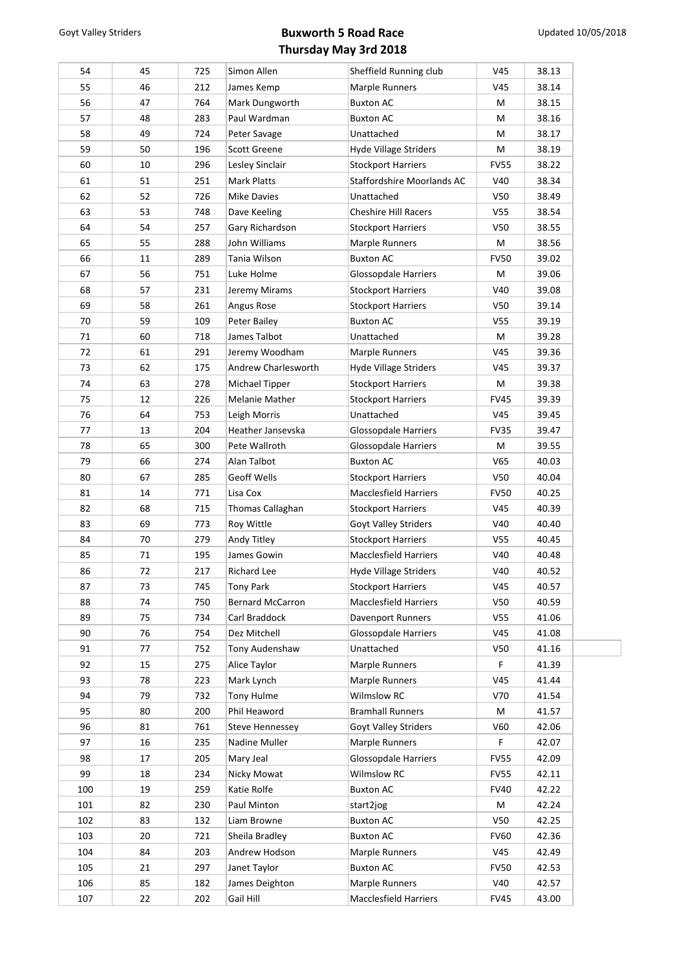| 54  | 45 | 725 | Simon Allen                       | Sheffield Running club       | V <sub>45</sub> | 38.13 |
|-----|----|-----|-----------------------------------|------------------------------|-----------------|-------|
| 55  | 46 | 212 | James Kemp                        | Marple Runners               | V45             | 38.14 |
| 56  | 47 | 764 | Mark Dungworth                    | <b>Buxton AC</b>             | M               | 38.15 |
| 57  | 48 | 283 | Paul Wardman                      | <b>Buxton AC</b>             | M               | 38.16 |
| 58  | 49 | 724 | Peter Savage                      | Unattached                   | M               | 38.17 |
| 59  | 50 | 196 | <b>Scott Greene</b>               | <b>Hyde Village Striders</b> | M               | 38.19 |
| 60  | 10 | 296 | Lesley Sinclair                   | <b>Stockport Harriers</b>    | <b>FV55</b>     | 38.22 |
| 61  | 51 | 251 | Mark Platts                       | Staffordshire Moorlands AC   | V40             | 38.34 |
| 62  | 52 | 726 | Mike Davies                       | Unattached                   | V50             | 38.49 |
| 63  | 53 | 748 | Dave Keeling                      | <b>Cheshire Hill Racers</b>  | V <sub>55</sub> | 38.54 |
| 64  | 54 | 257 | Gary Richardson                   | <b>Stockport Harriers</b>    | V50             | 38.55 |
| 65  | 55 | 288 | John Williams                     | Marple Runners               | M               | 38.56 |
| 66  | 11 | 289 | Tania Wilson                      | <b>Buxton AC</b>             | <b>FV50</b>     | 39.02 |
| 67  | 56 | 751 | Luke Holme                        | <b>Glossopdale Harriers</b>  | M               | 39.06 |
| 68  | 57 | 231 | Jeremy Mirams                     | <b>Stockport Harriers</b>    | V40             | 39.08 |
| 69  | 58 | 261 | Angus Rose                        | <b>Stockport Harriers</b>    | V50             | 39.14 |
| 70  | 59 | 109 | Peter Bailey                      | <b>Buxton AC</b>             | V <sub>55</sub> | 39.19 |
| 71  | 60 | 718 | James Talbot                      | Unattached                   | M               | 39.28 |
| 72  | 61 | 291 | Jeremy Woodham                    | Marple Runners               | V45             | 39.36 |
| 73  | 62 | 175 | Andrew Charlesworth               | <b>Hyde Village Striders</b> | V45             | 39.37 |
| 74  | 63 | 278 | Michael Tipper                    | <b>Stockport Harriers</b>    | M               | 39.38 |
| 75  | 12 | 226 | Melanie Mather                    | <b>Stockport Harriers</b>    | <b>FV45</b>     | 39.39 |
| 76  | 64 | 753 |                                   | Unattached                   | V45             | 39.45 |
| 77  | 13 | 204 | Leigh Morris<br>Heather Jansevska |                              |                 |       |
| 78  |    |     |                                   | <b>Glossopdale Harriers</b>  | <b>FV35</b>     | 39.47 |
|     | 65 | 300 | Pete Wallroth                     | Glossopdale Harriers         | M               | 39.55 |
| 79  | 66 | 274 | Alan Talbot                       | <b>Buxton AC</b>             | V <sub>65</sub> | 40.03 |
| 80  | 67 | 285 | Geoff Wells                       | Stockport Harriers           | V <sub>50</sub> | 40.04 |
| 81  | 14 | 771 | Lisa Cox                          | <b>Macclesfield Harriers</b> | <b>FV50</b>     | 40.25 |
| 82  | 68 | 715 | Thomas Callaghan                  | <b>Stockport Harriers</b>    | V45             | 40.39 |
| 83  | 69 | 773 | Roy Wittle                        | Goyt Valley Striders         | V40             | 40.40 |
| 84  | 70 | 279 | Andy Titley                       | <b>Stockport Harriers</b>    | V <sub>55</sub> | 40.45 |
| 85  | 71 | 195 | James Gowin                       | <b>Macclesfield Harriers</b> | V40             | 40.48 |
| 86  | 72 | 217 | Richard Lee                       | <b>Hyde Village Striders</b> | V40             | 40.52 |
| 87  | 73 | 745 | <b>Tony Park</b>                  | <b>Stockport Harriers</b>    | V45             | 40.57 |
| 88  | 74 | 750 | <b>Bernard McCarron</b>           | Macclesfield Harriers        | V <sub>50</sub> | 40.59 |
| 89  | 75 | 734 | Carl Braddock                     | Davenport Runners            | V <sub>55</sub> | 41.06 |
| 90  | 76 | 754 | Dez Mitchell                      | <b>Glossopdale Harriers</b>  | V45             | 41.08 |
| 91  | 77 | 752 | Tony Audenshaw                    | Unattached                   | V <sub>50</sub> | 41.16 |
| 92  | 15 | 275 | Alice Taylor                      | Marple Runners               | F.              | 41.39 |
| 93  | 78 | 223 | Mark Lynch                        | Marple Runners               | V45             | 41.44 |
| 94  | 79 | 732 | Tony Hulme                        | Wilmslow RC                  | V70             | 41.54 |
| 95  | 80 | 200 | Phil Heaword                      | <b>Bramhall Runners</b>      | M               | 41.57 |
| 96  | 81 | 761 | <b>Steve Hennessey</b>            | Goyt Valley Striders         | V60             | 42.06 |
| 97  | 16 | 235 | Nadine Muller                     | Marple Runners               | F.              | 42.07 |
| 98  | 17 | 205 | Mary Jeal                         | <b>Glossopdale Harriers</b>  | <b>FV55</b>     | 42.09 |
| 99  | 18 | 234 | Nicky Mowat                       | Wilmslow RC                  | <b>FV55</b>     | 42.11 |
| 100 | 19 | 259 | Katie Rolfe                       | <b>Buxton AC</b>             | <b>FV40</b>     | 42.22 |
| 101 | 82 | 230 | Paul Minton                       | start2jog                    | М               | 42.24 |
| 102 | 83 | 132 | Liam Browne                       | <b>Buxton AC</b>             | V <sub>50</sub> | 42.25 |
| 103 | 20 | 721 | Sheila Bradley                    | <b>Buxton AC</b>             | <b>FV60</b>     | 42.36 |
| 104 | 84 | 203 | Andrew Hodson                     | Marple Runners               | V45             | 42.49 |
| 105 | 21 | 297 | Janet Taylor                      | <b>Buxton AC</b>             | <b>FV50</b>     | 42.53 |
| 106 | 85 | 182 | James Deighton                    | Marple Runners               | V40             | 42.57 |
|     |    |     |                                   |                              |                 |       |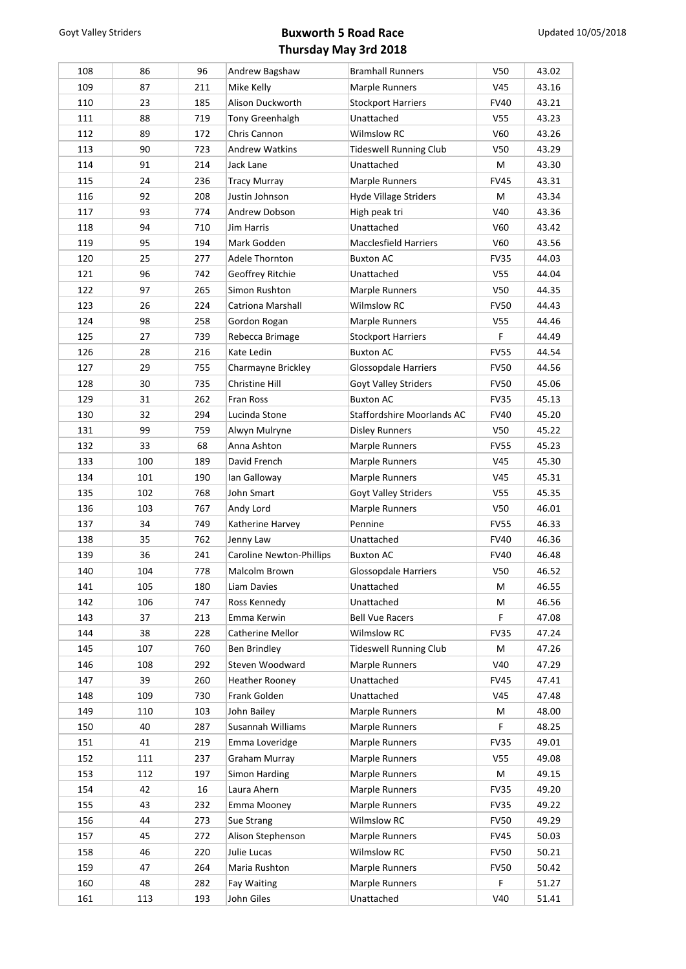| 108        | 86        | 96         | Andrew Bagshaw                   | <b>Bramhall Runners</b>          | V <sub>50</sub>    | 43.02          |
|------------|-----------|------------|----------------------------------|----------------------------------|--------------------|----------------|
| 109        | 87        | 211        | Mike Kelly                       | Marple Runners                   | V45                | 43.16          |
| 110        | 23        | 185        | Alison Duckworth                 | <b>Stockport Harriers</b>        | <b>FV40</b>        | 43.21          |
| 111        | 88        | 719        | <b>Tony Greenhalgh</b>           | Unattached                       | V <sub>55</sub>    | 43.23          |
| 112        | 89        | 172        | Chris Cannon                     | Wilmslow RC                      | V60                | 43.26          |
| 113        | 90        | 723        | Andrew Watkins                   | <b>Tideswell Running Club</b>    | V50                | 43.29          |
| 114        | 91        | 214        | Jack Lane                        | Unattached                       | М                  | 43.30          |
| 115        | 24        | 236        | Tracy Murray                     | Marple Runners                   | <b>FV45</b>        | 43.31          |
| 116        | 92        | 208        | Justin Johnson                   | Hyde Village Striders            | М                  | 43.34          |
| 117        | 93        | 774        | Andrew Dobson                    | High peak tri                    | V40                | 43.36          |
| 118        | 94        | 710        | Jim Harris                       | Unattached                       | V60                | 43.42          |
| 119        | 95        | 194        | Mark Godden                      | <b>Macclesfield Harriers</b>     | V60                | 43.56          |
| 120        | 25        | 277        | Adele Thornton                   | <b>Buxton AC</b>                 | <b>FV35</b>        | 44.03          |
| 121        | 96        | 742        | Geoffrey Ritchie                 | Unattached                       | V55                | 44.04          |
| 122        | 97        | 265        | Simon Rushton                    | Marple Runners                   | V50                | 44.35          |
| 123        | 26        | 224        | Catriona Marshall                | Wilmslow RC                      | <b>FV50</b>        | 44.43          |
| 124        | 98        | 258        | Gordon Rogan                     | Marple Runners                   | V55                | 44.46          |
| 125        | 27        | 739        | Rebecca Brimage                  | <b>Stockport Harriers</b>        | F                  | 44.49          |
| 126        | 28        | 216        | Kate Ledin                       | <b>Buxton AC</b>                 | <b>FV55</b>        | 44.54          |
| 127        | 29        | 755        | Charmayne Brickley               | Glossopdale Harriers             | <b>FV50</b>        | 44.56          |
| 128        | 30        | 735        | Christine Hill                   | Goyt Valley Striders             | <b>FV50</b>        | 45.06          |
| 129        | 31        | 262        | Fran Ross                        | <b>Buxton AC</b>                 | FV35               | 45.13          |
| 130        | 32        | 294        | Lucinda Stone                    | Staffordshire Moorlands AC       | <b>FV40</b>        | 45.20          |
| 131        | 99        | 759        | Alwyn Mulryne                    | <b>Disley Runners</b>            | <b>V50</b>         | 45.22          |
| 132        | 33        | 68         | Anna Ashton                      | Marple Runners                   | <b>FV55</b>        | 45.23          |
| 133        | 100       | 189        | David French                     | Marple Runners                   | V45                | 45.30          |
| 134        | 101       | 190        | Ian Galloway                     | Marple Runners                   | V45                | 45.31          |
| 135        | 102       | 768        | John Smart                       | Goyt Valley Striders             | V55                | 45.35          |
| 136        | 103       | 767        | Andy Lord                        | Marple Runners                   | V50                | 46.01          |
| 137        | 34        | 749        | Katherine Harvey                 | Pennine                          | <b>FV55</b>        | 46.33          |
| 138        | 35        | 762        | Jenny Law                        | Unattached                       | <b>FV40</b>        | 46.36          |
| 139        | 36        | 241        | <b>Caroline Newton-Phillips</b>  | <b>Buxton AC</b>                 | <b>FV40</b>        | 46.48          |
| 140        | 104       | 778        | Malcolm Brown                    | <b>Glossopdale Harriers</b>      | V50                | 46.52          |
| 141        | 105       | 180        | Liam Davies                      | Unattached                       | M                  | 46.55          |
| 142        | 106       | 747        | Ross Kennedy                     | Unattached                       | М                  | 46.56          |
| 143        | 37        | 213        | Emma Kerwin                      | <b>Bell Vue Racers</b>           | F                  | 47.08          |
|            |           |            |                                  | Wilmslow RC                      |                    | 47.24          |
| 144<br>145 | 38<br>107 | 228<br>760 | Catherine Mellor<br>Ben Brindley | <b>Tideswell Running Club</b>    | FV35<br>М          | 47.26          |
| 146        | 108       | 292        | Steven Woodward                  | Marple Runners                   | V40                | 47.29          |
| 147        | 39        | 260        | <b>Heather Rooney</b>            | Unattached                       |                    | 47.41          |
| 148        | 109       | 730        | Frank Golden                     | Unattached                       | <b>FV45</b><br>V45 | 47.48          |
| 149        | 110       | 103        | John Bailey                      | Marple Runners                   | М                  | 48.00          |
| 150        | 40        | 287        | Susannah Williams                | Marple Runners                   | F                  | 48.25          |
| 151        | 41        | 219        | Emma Loveridge                   | Marple Runners                   | FV35               | 49.01          |
|            |           | 237        | Graham Murray                    | Marple Runners                   |                    |                |
| 152        | 111       |            |                                  |                                  | V55                | 49.08          |
| 153<br>154 | 112<br>42 | 197<br>16  | Simon Harding<br>Laura Ahern     | Marple Runners<br>Marple Runners | М<br><b>FV35</b>   | 49.15<br>49.20 |
|            |           |            |                                  |                                  |                    |                |
| 155        | 43        | 232        | Emma Mooney                      | Marple Runners                   | FV35               | 49.22          |
| 156        | 44        | 273        | Sue Strang                       | Wilmslow RC                      | <b>FV50</b>        | 49.29          |
| 157        | 45        | 272        | Alison Stephenson                | Marple Runners                   | <b>FV45</b>        | 50.03          |
| 158        | 46        | 220        | Julie Lucas                      | Wilmslow RC                      | <b>FV50</b>        | 50.21          |
| 159        | 47        | 264        | Maria Rushton                    | Marple Runners                   | <b>FV50</b>        | 50.42          |
| 160        | 48        | 282        | Fay Waiting                      | Marple Runners                   | F                  | 51.27          |
| 161        | 113       | 193        | John Giles                       | Unattached                       | V40                | 51.41          |